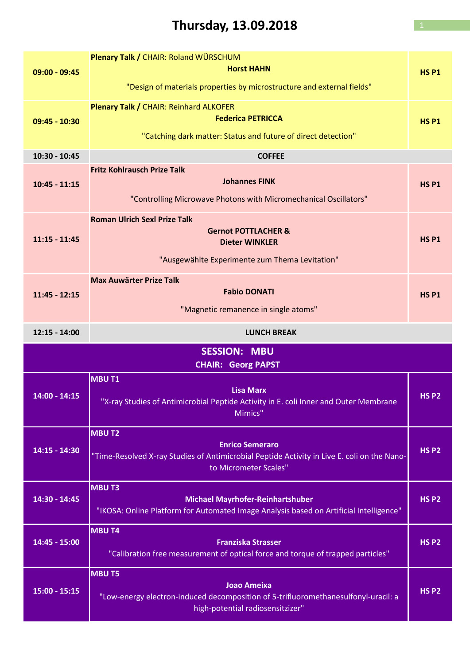# Thursday, 13.09.2018 1

| $09:00 - 09:45$                                  | Plenary Talk / CHAIR: Roland WÜRSCHUM<br><b>Horst HAHN</b><br>"Design of materials properties by microstructure and external fields"                           | <b>HSP1</b>  |
|--------------------------------------------------|----------------------------------------------------------------------------------------------------------------------------------------------------------------|--------------|
| 09:45 - 10:30                                    | Plenary Talk / CHAIR: Reinhard ALKOFER<br><b>Federica PETRICCA</b><br>"Catching dark matter: Status and future of direct detection"                            | <b>HSP1</b>  |
| 10:30 - 10:45                                    | <b>COFFEE</b>                                                                                                                                                  |              |
| $10:45 - 11:15$                                  | <b>Fritz Kohlrausch Prize Talk</b><br><b>Johannes FINK</b><br>"Controlling Microwave Photons with Micromechanical Oscillators"                                 | <b>HSP1</b>  |
| $11:15 - 11:45$                                  | <b>Roman Ulrich Sexl Prize Talk</b><br><b>Gernot POTTLACHER &amp;</b><br><b>Dieter WINKLER</b><br>"Ausgewählte Experimente zum Thema Levitation"               | <b>HSP1</b>  |
| $11:45 - 12:15$                                  | <b>Max Auwärter Prize Talk</b><br><b>Fabio DONATI</b><br>"Magnetic remanence in single atoms"                                                                  | <b>HSP1</b>  |
| $12:15 - 14:00$                                  | <b>LUNCH BREAK</b>                                                                                                                                             |              |
| <b>SESSION: MBU</b><br><b>CHAIR: Georg PAPST</b> |                                                                                                                                                                |              |
|                                                  |                                                                                                                                                                |              |
| $14:00 - 14:15$                                  | <b>MBUT1</b><br><b>Lisa Marx</b><br>"X-ray Studies of Antimicrobial Peptide Activity in E. coli Inner and Outer Membrane<br>Mimics"                            | <b>HS P2</b> |
| 14:15 - 14:30                                    | <b>MBUT2</b><br><b>Enrico Semeraro</b><br>"Time-Resolved X-ray Studies of Antimicrobial Peptide Activity in Live E. coli on the Nano-<br>to Micrometer Scales" | <b>HS P2</b> |
| 14:30 - 14:45                                    | <b>MBUT3</b><br><b>Michael Mayrhofer-Reinhartshuber</b><br>"IKOSA: Online Platform for Automated Image Analysis based on Artificial Intelligence"              | <b>HS P2</b> |
| 14:45 - 15:00                                    | <b>MBU T4</b><br><b>Franziska Strasser</b><br>"Calibration free measurement of optical force and torque of trapped particles"                                  | <b>HS P2</b> |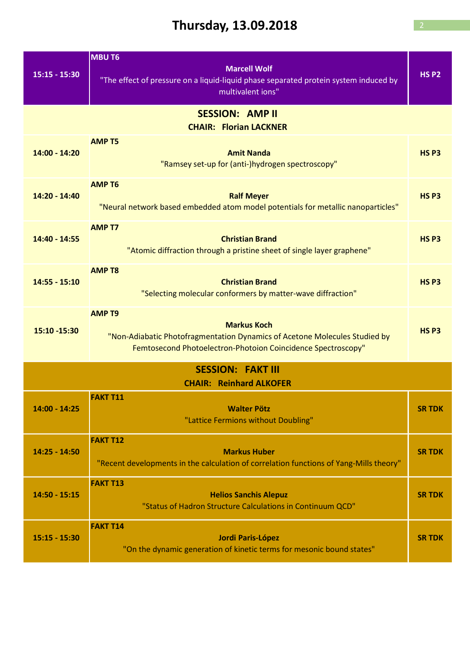## Thursday,  $13.09.2018$

|                                                            | <b>MBU T6</b>                                                                                                                                                                     |                  |  |
|------------------------------------------------------------|-----------------------------------------------------------------------------------------------------------------------------------------------------------------------------------|------------------|--|
| $15:15 - 15:30$                                            | <b>Marcell Wolf</b><br>"The effect of pressure on a liquid-liquid phase separated protein system induced by<br>multivalent ions"                                                  | <b>HS P2</b>     |  |
| <b>SESSION: AMP II</b><br><b>CHAIR: Florian LACKNER</b>    |                                                                                                                                                                                   |                  |  |
| 14:00 - 14:20                                              | <b>AMP T5</b><br><b>Amit Nanda</b><br>"Ramsey set-up for (anti-)hydrogen spectroscopy"                                                                                            | HS <sub>P3</sub> |  |
| 14:20 - 14:40                                              | <b>AMP T6</b><br><b>Ralf Meyer</b><br>"Neural network based embedded atom model potentials for metallic nanoparticles"                                                            | HS <sub>P3</sub> |  |
| 14:40 - 14:55                                              | <b>AMP T7</b><br><b>Christian Brand</b><br>"Atomic diffraction through a pristine sheet of single layer graphene"                                                                 | HS <sub>P3</sub> |  |
| $14:55 - 15:10$                                            | <b>AMP T8</b><br><b>Christian Brand</b><br>"Selecting molecular conformers by matter-wave diffraction"                                                                            | HS <sub>P3</sub> |  |
| 15:10 -15:30                                               | <b>AMP T9</b><br><b>Markus Koch</b><br>"Non-Adiabatic Photofragmentation Dynamics of Acetone Molecules Studied by<br>Femtosecond Photoelectron-Photoion Coincidence Spectroscopy" | HS <sub>P3</sub> |  |
| <b>SESSION: FAKT III</b><br><b>CHAIR: Reinhard ALKOFER</b> |                                                                                                                                                                                   |                  |  |
| $14:00 - 14:25$                                            | <b>FAKT T11</b><br><b>Walter Pötz</b><br>"Lattice Fermions without Doubling"                                                                                                      | <b>SR TDK</b>    |  |
| 14:25 - 14:50                                              | <b>FAKT T12</b><br><b>Markus Huber</b><br>"Recent developments in the calculation of correlation functions of Yang-Mills theory"                                                  | <b>SR TDK</b>    |  |
| $14:50 - 15:15$                                            | <b>FAKT T13</b><br><b>Helios Sanchis Alepuz</b><br>"Status of Hadron Structure Calculations in Continuum QCD"                                                                     | <b>SR TDK</b>    |  |
| $15:15 - 15:30$                                            | <b>FAKT T14</b><br>Jordi Paris-López<br>"On the dynamic generation of kinetic terms for mesonic bound states"                                                                     | <b>SR TDK</b>    |  |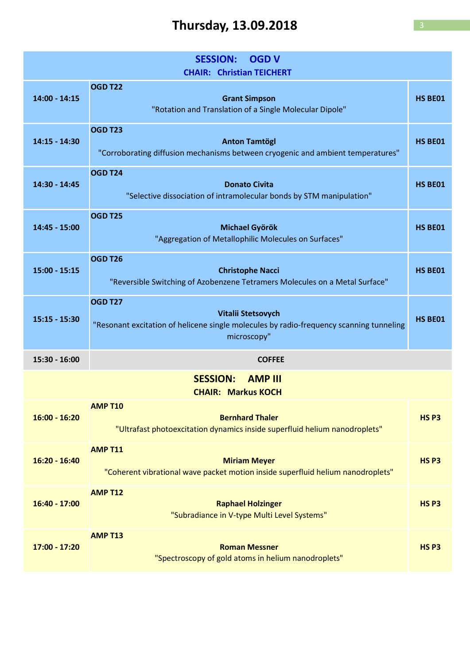## Thursday,  $13.09.2018$

| <b>SESSION:</b><br><b>OGD V</b><br><b>CHAIR: Christian TEICHERT</b> |                                                                                                                                                |                  |
|---------------------------------------------------------------------|------------------------------------------------------------------------------------------------------------------------------------------------|------------------|
| $14:00 - 14:15$                                                     | <b>OGD T22</b><br><b>Grant Simpson</b><br>"Rotation and Translation of a Single Molecular Dipole"                                              | HS BE01          |
| $14:15 - 14:30$                                                     | <b>OGD T23</b><br><b>Anton Tamtögl</b><br>"Corroborating diffusion mechanisms between cryogenic and ambient temperatures"                      | HS BE01          |
| 14:30 - 14:45                                                       | <b>OGD T24</b><br><b>Donato Civita</b><br>"Selective dissociation of intramolecular bonds by STM manipulation"                                 | HS BE01          |
| 14:45 - 15:00                                                       | <b>OGD T25</b><br><b>Michael Györök</b><br>"Aggregation of Metallophilic Molecules on Surfaces"                                                | HS BE01          |
| $15:00 - 15:15$                                                     | <b>OGD T26</b><br><b>Christophe Nacci</b><br>"Reversible Switching of Azobenzene Tetramers Molecules on a Metal Surface"                       | HS BE01          |
| $15:15 - 15:30$                                                     | <b>OGD T27</b><br>Vitalii Stetsovych<br>"Resonant excitation of helicene single molecules by radio-frequency scanning tunneling<br>microscopy" | HS BE01          |
| 15:30 - 16:00                                                       | <b>COFFEE</b>                                                                                                                                  |                  |
|                                                                     | <b>SESSION: AMP III</b><br><b>CHAIR: Markus KOCH</b>                                                                                           |                  |
| $16:00 - 16:20$                                                     | <b>AMP T10</b><br><b>Bernhard Thaler</b><br>"Ultrafast photoexcitation dynamics inside superfluid helium nanodroplets"                         | HS <sub>P3</sub> |
| $16:20 - 16:40$                                                     | <b>AMP T11</b><br><b>Miriam Meyer</b><br>"Coherent vibrational wave packet motion inside superfluid helium nanodroplets"                       | HS <sub>P3</sub> |
| 16:40 - 17:00                                                       | <b>AMP T12</b><br><b>Raphael Holzinger</b><br>"Subradiance in V-type Multi Level Systems"                                                      | HS <sub>P3</sub> |
| 17:00 - 17:20                                                       | <b>AMP T13</b><br><b>Roman Messner</b><br>"Spectroscopy of gold atoms in helium nanodroplets"                                                  | HS <sub>P3</sub> |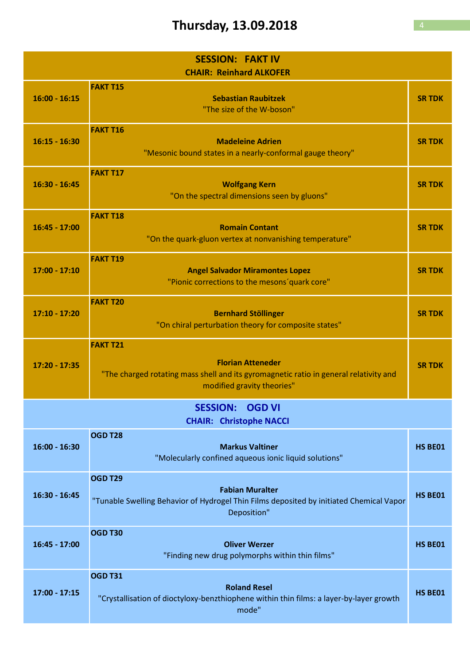## Thursday, 13.09.2018

| <b>SESSION: FAKT IV</b><br><b>CHAIR: Reinhard ALKOFER</b> |                                                                                                                                                                    |               |
|-----------------------------------------------------------|--------------------------------------------------------------------------------------------------------------------------------------------------------------------|---------------|
| $16:00 - 16:15$                                           | <b>FAKT T15</b><br><b>Sebastian Raubitzek</b><br>"The size of the W-boson"                                                                                         | <b>SR TDK</b> |
| $16:15 - 16:30$                                           | <b>FAKT T16</b><br><b>Madeleine Adrien</b><br>"Mesonic bound states in a nearly-conformal gauge theory"                                                            | <b>SR TDK</b> |
| $16:30 - 16:45$                                           | <b>FAKT T17</b><br><b>Wolfgang Kern</b><br>"On the spectral dimensions seen by gluons"                                                                             | <b>SR TDK</b> |
| $16:45 - 17:00$                                           | <b>FAKT T18</b><br><b>Romain Contant</b><br>"On the quark-gluon vertex at nonvanishing temperature"                                                                | <b>SR TDK</b> |
| $17:00 - 17:10$                                           | <b>FAKT T19</b><br><b>Angel Salvador Miramontes Lopez</b><br>"Pionic corrections to the mesons' quark core"                                                        | <b>SR TDK</b> |
| $17:10 - 17:20$                                           | <b>FAKT T20</b><br><b>Bernhard Stöllinger</b><br>"On chiral perturbation theory for composite states"                                                              | <b>SR TDK</b> |
| $17:20 - 17:35$                                           | <b>FAKT T21</b><br><b>Florian Atteneder</b><br>"The charged rotating mass shell and its gyromagnetic ratio in general relativity and<br>modified gravity theories" | <b>SR TDK</b> |
| <b>SESSION: OGD VI</b><br><b>CHAIR: Christophe NACCI</b>  |                                                                                                                                                                    |               |
| $16:00 - 16:30$                                           | OGD T28<br><b>Markus Valtiner</b><br>"Molecularly confined aqueous ionic liquid solutions"                                                                         | HS BE01       |
| 16:30 - 16:45                                             | <b>OGD T29</b><br><b>Fabian Muralter</b><br>"Tunable Swelling Behavior of Hydrogel Thin Films deposited by initiated Chemical Vapor<br>Deposition"                 | HS BE01       |
| $16:45 - 17:00$                                           | <b>OGD T30</b><br><b>Oliver Werzer</b><br>"Finding new drug polymorphs within thin films"                                                                          | HS BE01       |
| $17:00 - 17:15$                                           | <b>OGD T31</b><br><b>Roland Resel</b><br>"Crystallisation of dioctyloxy-benzthiophene within thin films: a layer-by-layer growth<br>mode"                          | HS BE01       |